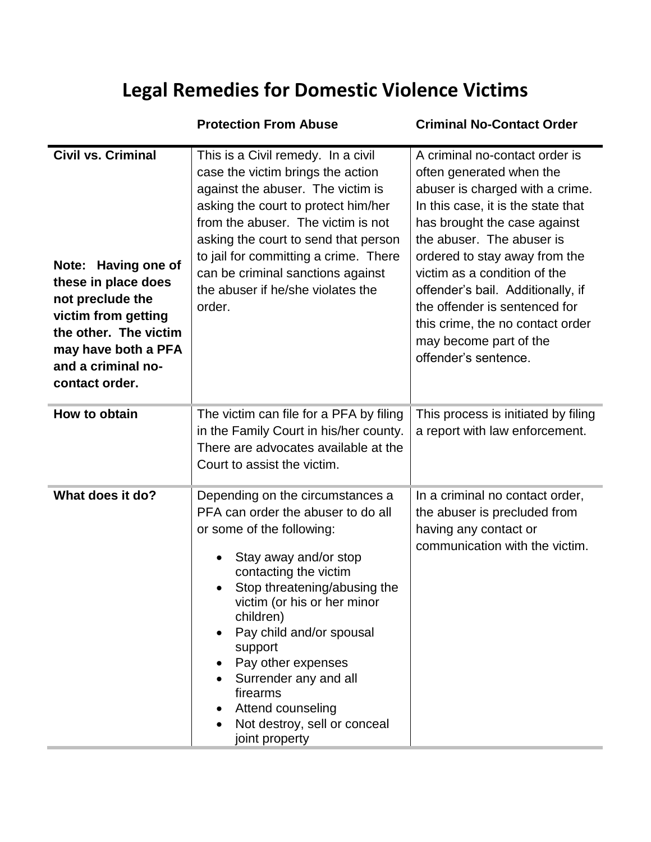## **Legal Remedies for Domestic Violence Victims**

|                                                                                                                                                                                                            | <b>Protection From Abuse</b>                                                                                                                                                                                                                                                                                                                                                                               | <b>Criminal No-Contact Order</b>                                                                                                                                                                                                                                                                                                                                                                                              |
|------------------------------------------------------------------------------------------------------------------------------------------------------------------------------------------------------------|------------------------------------------------------------------------------------------------------------------------------------------------------------------------------------------------------------------------------------------------------------------------------------------------------------------------------------------------------------------------------------------------------------|-------------------------------------------------------------------------------------------------------------------------------------------------------------------------------------------------------------------------------------------------------------------------------------------------------------------------------------------------------------------------------------------------------------------------------|
| <b>Civil vs. Criminal</b><br>Note: Having one of<br>these in place does<br>not preclude the<br>victim from getting<br>the other. The victim<br>may have both a PFA<br>and a criminal no-<br>contact order. | This is a Civil remedy. In a civil<br>case the victim brings the action<br>against the abuser. The victim is<br>asking the court to protect him/her<br>from the abuser. The victim is not<br>asking the court to send that person<br>to jail for committing a crime. There<br>can be criminal sanctions against<br>the abuser if he/she violates the<br>order.                                             | A criminal no-contact order is<br>often generated when the<br>abuser is charged with a crime.<br>In this case, it is the state that<br>has brought the case against<br>the abuser. The abuser is<br>ordered to stay away from the<br>victim as a condition of the<br>offender's bail. Additionally, if<br>the offender is sentenced for<br>this crime, the no contact order<br>may become part of the<br>offender's sentence. |
| How to obtain                                                                                                                                                                                              | The victim can file for a PFA by filing<br>in the Family Court in his/her county.<br>There are advocates available at the<br>Court to assist the victim.                                                                                                                                                                                                                                                   | This process is initiated by filing<br>a report with law enforcement.                                                                                                                                                                                                                                                                                                                                                         |
| What does it do?                                                                                                                                                                                           | Depending on the circumstances a<br>PFA can order the abuser to do all<br>or some of the following:<br>Stay away and/or stop<br>contacting the victim<br>Stop threatening/abusing the<br>victim (or his or her minor<br>children)<br>Pay child and/or spousal<br>support<br>Pay other expenses<br>Surrender any and all<br>firearms<br>Attend counseling<br>Not destroy, sell or conceal<br>joint property | In a criminal no contact order,<br>the abuser is precluded from<br>having any contact or<br>communication with the victim.                                                                                                                                                                                                                                                                                                    |